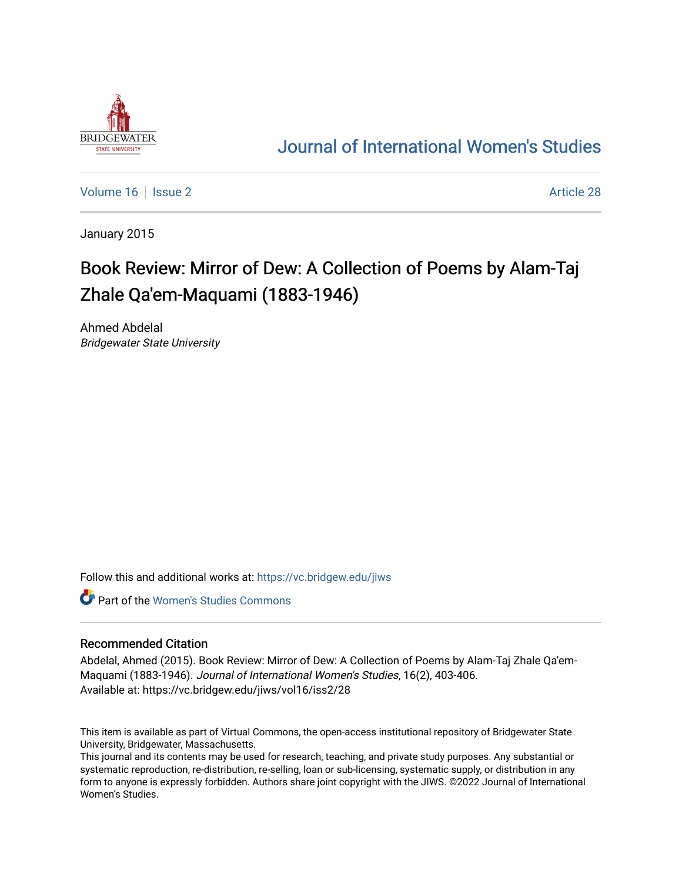

## [Journal of International Women's Studies](https://vc.bridgew.edu/jiws)

[Volume 16](https://vc.bridgew.edu/jiws/vol16) September 2 Article 28

January 2015

# Book Review: Mirror of Dew: A Collection of Poems by Alam-Taj Zhale Qa'em-Maquami (1883-1946)

Ahmed Abdelal Bridgewater State University

Follow this and additional works at: [https://vc.bridgew.edu/jiws](https://vc.bridgew.edu/jiws?utm_source=vc.bridgew.edu%2Fjiws%2Fvol16%2Fiss2%2F28&utm_medium=PDF&utm_campaign=PDFCoverPages)

**C** Part of the Women's Studies Commons

### Recommended Citation

Abdelal, Ahmed (2015). Book Review: Mirror of Dew: A Collection of Poems by Alam-Taj Zhale Qa'em-Maquami (1883-1946). Journal of International Women's Studies, 16(2), 403-406. Available at: https://vc.bridgew.edu/jiws/vol16/iss2/28

This item is available as part of Virtual Commons, the open-access institutional repository of Bridgewater State University, Bridgewater, Massachusetts.

This journal and its contents may be used for research, teaching, and private study purposes. Any substantial or systematic reproduction, re-distribution, re-selling, loan or sub-licensing, systematic supply, or distribution in any form to anyone is expressly forbidden. Authors share joint copyright with the JIWS. ©2022 Journal of International Women's Studies.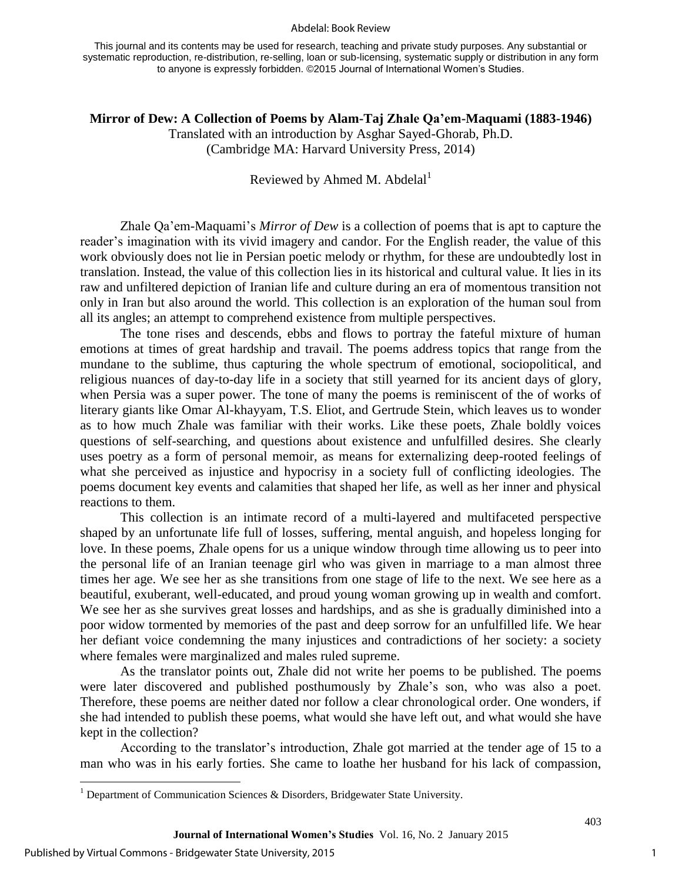#### Abdelal: Book Review

This journal and its contents may be used for research, teaching and private study purposes. Any substantial or systematic reproduction, re-distribution, re-selling, loan or sub-licensing, systematic supply or distribution in any form to anyone is expressly forbidden. ©2015 Journal of International Women's Studies.

**Mirror of Dew: A Collection of Poems by Alam-Taj Zhale Qa'em-Maquami (1883-1946)**  Translated with an introduction by Asghar Sayed-Ghorab, Ph.D. (Cambridge MA: Harvard University Press, 2014)

## Reviewed by Ahmed M. Abdelal<sup>1</sup>

Zhale Qa'em-Maquami's *Mirror of Dew* is a collection of poems that is apt to capture the reader's imagination with its vivid imagery and candor. For the English reader, the value of this work obviously does not lie in Persian poetic melody or rhythm, for these are undoubtedly lost in translation. Instead, the value of this collection lies in its historical and cultural value. It lies in its raw and unfiltered depiction of Iranian life and culture during an era of momentous transition not only in Iran but also around the world. This collection is an exploration of the human soul from all its angles; an attempt to comprehend existence from multiple perspectives.

The tone rises and descends, ebbs and flows to portray the fateful mixture of human emotions at times of great hardship and travail. The poems address topics that range from the mundane to the sublime, thus capturing the whole spectrum of emotional, sociopolitical, and religious nuances of day-to-day life in a society that still yearned for its ancient days of glory, when Persia was a super power. The tone of many the poems is reminiscent of the of works of literary giants like Omar Al-khayyam, T.S. Eliot, and Gertrude Stein, which leaves us to wonder as to how much Zhale was familiar with their works. Like these poets, Zhale boldly voices questions of self-searching, and questions about existence and unfulfilled desires. She clearly uses poetry as a form of personal memoir, as means for externalizing deep-rooted feelings of what she perceived as injustice and hypocrisy in a society full of conflicting ideologies. The poems document key events and calamities that shaped her life, as well as her inner and physical reactions to them.

This collection is an intimate record of a multi-layered and multifaceted perspective shaped by an unfortunate life full of losses, suffering, mental anguish, and hopeless longing for love. In these poems, Zhale opens for us a unique window through time allowing us to peer into the personal life of an Iranian teenage girl who was given in marriage to a man almost three times her age. We see her as she transitions from one stage of life to the next. We see here as a beautiful, exuberant, well-educated, and proud young woman growing up in wealth and comfort. We see her as she survives great losses and hardships, and as she is gradually diminished into a poor widow tormented by memories of the past and deep sorrow for an unfulfilled life. We hear her defiant voice condemning the many injustices and contradictions of her society: a society where females were marginalized and males ruled supreme.

As the translator points out, Zhale did not write her poems to be published. The poems were later discovered and published posthumously by Zhale's son, who was also a poet. Therefore, these poems are neither dated nor follow a clear chronological order. One wonders, if she had intended to publish these poems, what would she have left out, and what would she have kept in the collection?

According to the translator's introduction, Zhale got married at the tender age of 15 to a man who was in his early forties. She came to loathe her husband for his lack of compassion,

 $\overline{\phantom{a}}$ 

403

<sup>&</sup>lt;sup>1</sup> Department of Communication Sciences & Disorders, Bridgewater State University.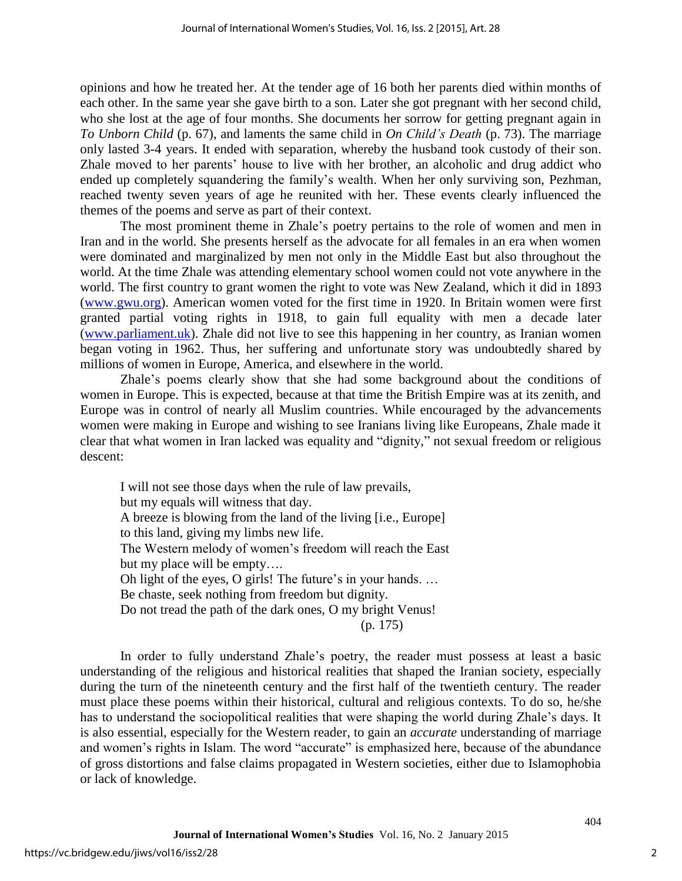opinions and how he treated her. At the tender age of 16 both her parents died within months of each other. In the same year she gave birth to a son. Later she got pregnant with her second child, who she lost at the age of four months. She documents her sorrow for getting pregnant again in *To Unborn Child* (p. 67), and laments the same child in *On Child's Death* (p. 73). The marriage only lasted 3-4 years. It ended with separation, whereby the husband took custody of their son. Zhale moved to her parents' house to live with her brother, an alcoholic and drug addict who ended up completely squandering the family's wealth. When her only surviving son, Pezhman, reached twenty seven years of age he reunited with her. These events clearly influenced the themes of the poems and serve as part of their context.

The most prominent theme in Zhale's poetry pertains to the role of women and men in Iran and in the world. She presents herself as the advocate for all females in an era when women were dominated and marginalized by men not only in the Middle East but also throughout the world. At the time Zhale was attending elementary school women could not vote anywhere in the world. The first country to grant women the right to vote was New Zealand, which it did in 1893 [\(www.gwu.org\)](http://www.gwu.org/). American women voted for the first time in 1920. In Britain women were first granted partial voting rights in 1918, to gain full equality with men a decade later [\(www.parliament.uk\)](http://www.parliament.uk/). Zhale did not live to see this happening in her country, as Iranian women began voting in 1962. Thus, her suffering and unfortunate story was undoubtedly shared by millions of women in Europe, America, and elsewhere in the world.

Zhale's poems clearly show that she had some background about the conditions of women in Europe. This is expected, because at that time the British Empire was at its zenith, and Europe was in control of nearly all Muslim countries. While encouraged by the advancements women were making in Europe and wishing to see Iranians living like Europeans, Zhale made it clear that what women in Iran lacked was equality and "dignity," not sexual freedom or religious descent:

I will not see those days when the rule of law prevails, but my equals will witness that day. A breeze is blowing from the land of the living [i.e., Europe] to this land, giving my limbs new life. The Western melody of women's freedom will reach the East but my place will be empty…. Oh light of the eyes, O girls! The future's in your hands. … Be chaste, seek nothing from freedom but dignity. Do not tread the path of the dark ones, O my bright Venus! (p. 175)

In order to fully understand Zhale's poetry, the reader must possess at least a basic understanding of the religious and historical realities that shaped the Iranian society, especially during the turn of the nineteenth century and the first half of the twentieth century. The reader must place these poems within their historical, cultural and religious contexts. To do so, he/she has to understand the sociopolitical realities that were shaping the world during Zhale's days. It is also essential, especially for the Western reader, to gain an *accurate* understanding of marriage and women's rights in Islam. The word "accurate" is emphasized here, because of the abundance of gross distortions and false claims propagated in Western societies, either due to Islamophobia or lack of knowledge.

404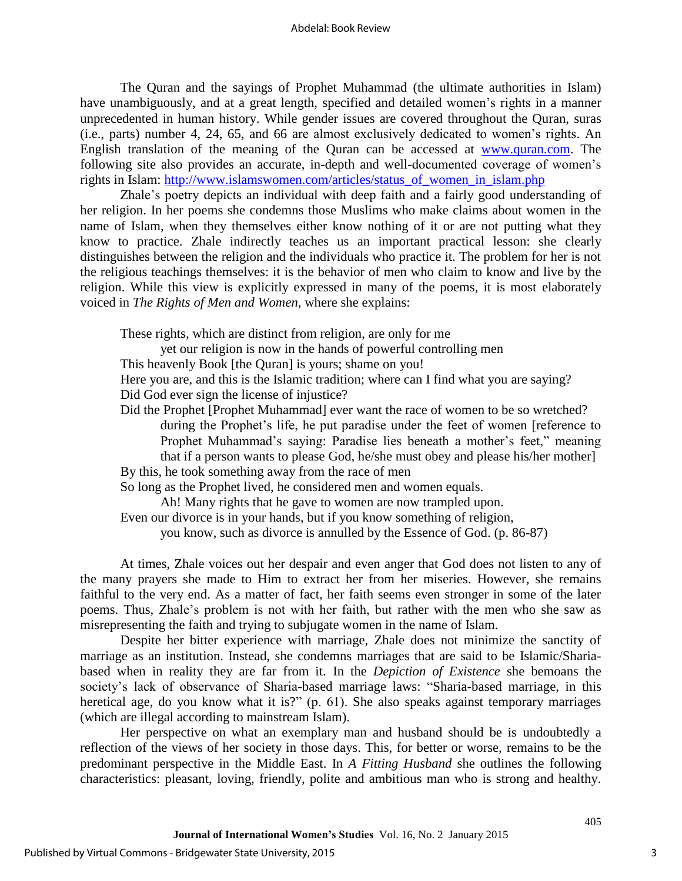The Quran and the sayings of Prophet Muhammad (the ultimate authorities in Islam) have unambiguously, and at a great length, specified and detailed women's rights in a manner unprecedented in human history. While gender issues are covered throughout the Quran, suras (i.e., parts) number 4, 24, 65, and 66 are almost exclusively dedicated to women's rights. An English translation of the meaning of the Quran can be accessed at [www.quran.com.](http://www.quran.com/) The following site also provides an accurate, in-depth and well-documented coverage of women's rights in Islam: [http://www.islamswomen.com/articles/status\\_of\\_women\\_in\\_islam.php](http://www.islamswomen.com/articles/status_of_women_in_islam.php)

Zhale's poetry depicts an individual with deep faith and a fairly good understanding of her religion. In her poems she condemns those Muslims who make claims about women in the name of Islam, when they themselves either know nothing of it or are not putting what they know to practice. Zhale indirectly teaches us an important practical lesson: she clearly distinguishes between the religion and the individuals who practice it. The problem for her is not the religious teachings themselves: it is the behavior of men who claim to know and live by the religion. While this view is explicitly expressed in many of the poems, it is most elaborately voiced in *The Rights of Men and Women*, where she explains:

These rights, which are distinct from religion, are only for me

yet our religion is now in the hands of powerful controlling men

This heavenly Book [the Quran] is yours; shame on you!

Here you are, and this is the Islamic tradition; where can I find what you are saying? Did God ever sign the license of injustice?

Did the Prophet [Prophet Muhammad] ever want the race of women to be so wretched? during the Prophet's life, he put paradise under the feet of women [reference to Prophet Muhammad's saying: Paradise lies beneath a mother's feet," meaning that if a person wants to please God, he/she must obey and please his/her mother]

By this, he took something away from the race of men

So long as the Prophet lived, he considered men and women equals.

Ah! Many rights that he gave to women are now trampled upon.

Even our divorce is in your hands, but if you know something of religion,

you know, such as divorce is annulled by the Essence of God. (p. 86-87)

At times, Zhale voices out her despair and even anger that God does not listen to any of the many prayers she made to Him to extract her from her miseries. However, she remains faithful to the very end. As a matter of fact, her faith seems even stronger in some of the later poems. Thus, Zhale's problem is not with her faith, but rather with the men who she saw as misrepresenting the faith and trying to subjugate women in the name of Islam.

Despite her bitter experience with marriage, Zhale does not minimize the sanctity of marriage as an institution. Instead, she condemns marriages that are said to be Islamic/Shariabased when in reality they are far from it. In the *Depiction of Existence* she bemoans the society's lack of observance of Sharia-based marriage laws: "Sharia-based marriage, in this heretical age, do you know what it is?" (p. 61). She also speaks against temporary marriages (which are illegal according to mainstream Islam).

Her perspective on what an exemplary man and husband should be is undoubtedly a reflection of the views of her society in those days. This, for better or worse, remains to be the predominant perspective in the Middle East. In *A Fitting Husband* she outlines the following characteristics: pleasant, loving, friendly, polite and ambitious man who is strong and healthy.